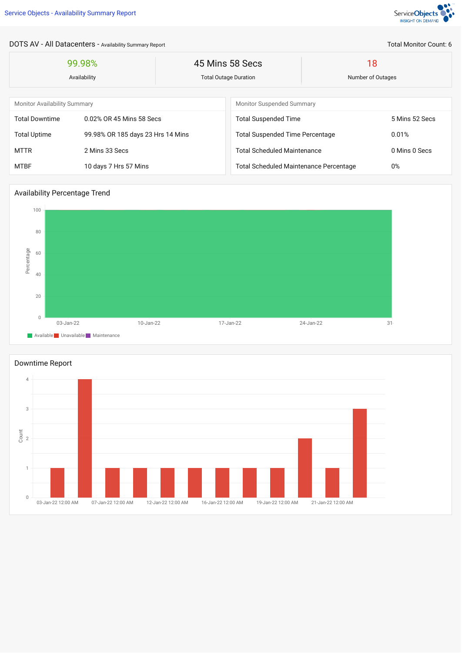

## DOTS AV - All Datacenters - Availability Summary Report

| 99.98%<br>Availability              |                                   | 45 Mins 58 Secs<br><b>Total Outage Duration</b> |                                               | 18<br>Number of Outages |                |  |
|-------------------------------------|-----------------------------------|-------------------------------------------------|-----------------------------------------------|-------------------------|----------------|--|
|                                     |                                   |                                                 |                                               |                         |                |  |
| <b>Monitor Availability Summary</b> |                                   |                                                 | <b>Monitor Suspended Summary</b>              |                         |                |  |
| <b>Total Downtime</b>               | 0.02% OR 45 Mins 58 Secs          |                                                 | <b>Total Suspended Time</b>                   |                         | 5 Mins 52 Secs |  |
| <b>Total Uptime</b>                 | 99.98% OR 185 days 23 Hrs 14 Mins |                                                 | <b>Total Suspended Time Percentage</b>        |                         | 0.01%          |  |
| <b>MTTR</b>                         | 2 Mins 33 Secs                    |                                                 | <b>Total Scheduled Maintenance</b>            |                         | 0 Mins 0 Secs  |  |
| <b>MTBF</b>                         | 10 days 7 Hrs 57 Mins             |                                                 | <b>Total Scheduled Maintenance Percentage</b> |                         | 0%             |  |

## Availability Percentage Trend





Total Monitor Count: 6